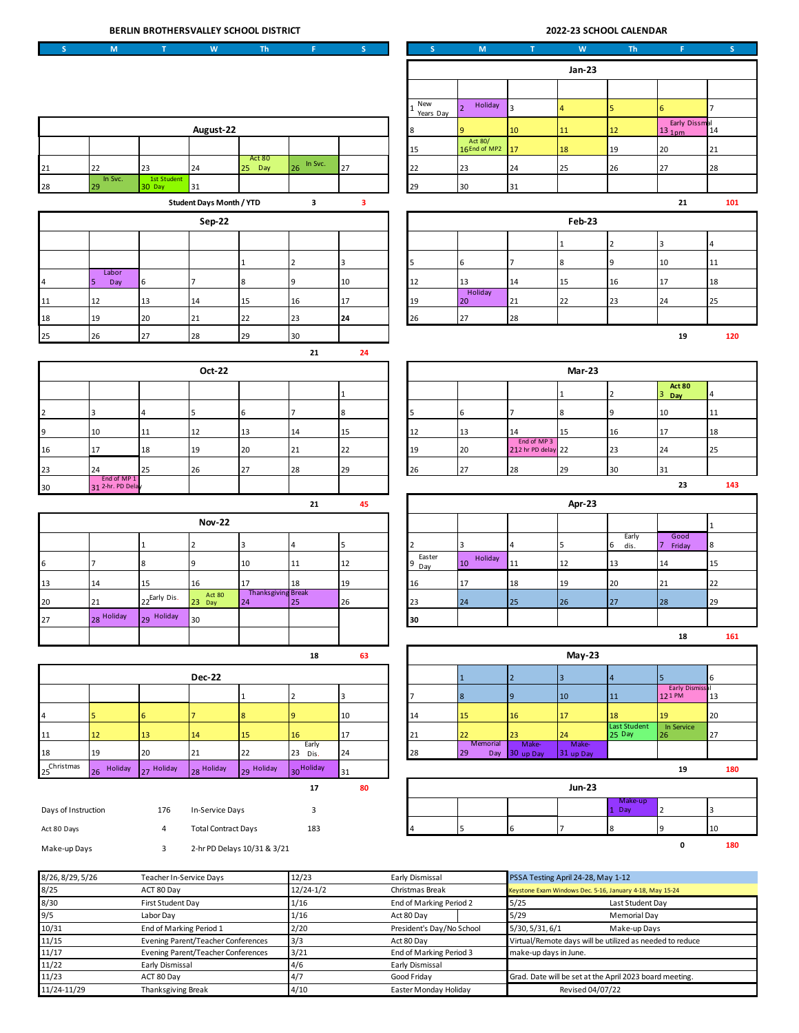| BERLIN BROTHERSVALLEY SCHOOL DISTRICT       |                                                                                                            |                                 |                            |                                 |                     |                |                                            |                                    | 2022-23 SCHOOL CALENDAR           |                           |                                                                              |                                       |                 |
|---------------------------------------------|------------------------------------------------------------------------------------------------------------|---------------------------------|----------------------------|---------------------------------|---------------------|----------------|--------------------------------------------|------------------------------------|-----------------------------------|---------------------------|------------------------------------------------------------------------------|---------------------------------------|-----------------|
| $\mathsf{S}$                                | $\mathsf{M}% _{T}=\mathsf{M}_{T}\!\left( a,b\right) ,\ \mathsf{M}_{T}=\mathsf{M}_{T}\!\left( a,b\right) ,$ | $\mathsf T$                     | W                          | Th                              | $\mathbf{F}$ .      | S              | s.                                         | ${\sf M}$                          | $\mathbf T$                       | W                         | <b>Th</b>                                                                    | F.                                    | S               |
|                                             |                                                                                                            |                                 |                            |                                 |                     |                |                                            |                                    |                                   |                           | <b>Jan-23</b>                                                                |                                       |                 |
|                                             |                                                                                                            |                                 |                            |                                 |                     |                |                                            |                                    |                                   |                           |                                                                              |                                       |                 |
|                                             |                                                                                                            |                                 |                            |                                 |                     |                | New<br>$\mathbf{1}$                        | Holiday<br>$\overline{2}$          | $\overline{3}$                    | $\overline{\mathbf{4}}$   | 5                                                                            | 6                                     | $\overline{7}$  |
| August-22                                   |                                                                                                            |                                 |                            |                                 |                     | Years Day<br>8 | q                                          | $10\,$                             | $11\,$                            | $12\,$                    | Early Dissmal<br>11nm 14<br>13 <sub>1pm</sub>                                |                                       |                 |
|                                             |                                                                                                            |                                 |                            |                                 |                     |                | 15                                         | Act 80/<br>16End of MP2            | 17                                | 18                        | 19                                                                           | 20                                    | 21              |
| 21                                          | 22                                                                                                         | 23                              | 24                         | Act 80<br>25 Day                | In Svc.<br>26       | 27             | 22                                         | 23                                 | 24                                | 25                        | 26                                                                           | 27                                    | 28              |
| 28                                          | In Svc.<br>29                                                                                              | 1st Student<br>30 Day           | 31                         |                                 |                     |                | 29                                         | 30                                 | 31                                |                           |                                                                              |                                       |                 |
| <b>Student Days Month / YTD</b><br>3        |                                                                                                            |                                 |                            | 3                               |                     |                |                                            |                                    |                                   | 21                        | 101                                                                          |                                       |                 |
| <b>Sep-22</b>                               |                                                                                                            |                                 |                            |                                 |                     |                |                                            |                                    | <b>Feb-23</b>                     |                           |                                                                              |                                       |                 |
|                                             |                                                                                                            |                                 |                            |                                 |                     |                |                                            |                                    |                                   | $\mathbf{1}$              | $\overline{2}$                                                               | $\overline{\mathbf{3}}$               | $\overline{4}$  |
|                                             |                                                                                                            |                                 |                            | $\mathbf{1}$                    | $\mathbf 2$         | 3              | 5                                          | 6                                  | $\overline{7}$                    | 8                         | 9                                                                            | $10\,$                                | 11              |
| $\overline{4}$                              | Labor<br>5<br>Day                                                                                          | 6                               | $\overline{7}$             | 8                               | 9                   | 10             | 12                                         | 13                                 | 14                                | 15                        | 16                                                                           | 17                                    | 18              |
| 11                                          | 12                                                                                                         | 13                              | 14                         | 15                              | 16                  | 17             | 19                                         | Holiday<br>20                      | 21                                | 22                        | 23                                                                           | 24                                    | 25              |
| 18                                          | 19                                                                                                         | 20                              | 21                         | 22                              | 23                  | 24             | 26                                         | 27                                 | 28                                |                           |                                                                              |                                       |                 |
| 25                                          | 26                                                                                                         | 27                              | 28                         | 29                              | 30                  |                |                                            |                                    |                                   |                           |                                                                              | 19                                    | 120             |
| 21<br>24                                    |                                                                                                            |                                 |                            |                                 |                     |                |                                            |                                    |                                   |                           |                                                                              |                                       |                 |
|                                             |                                                                                                            |                                 | Oct-22                     |                                 |                     |                |                                            |                                    |                                   | <b>Mar-23</b>             |                                                                              |                                       |                 |
|                                             |                                                                                                            |                                 |                            |                                 |                     | $\mathbf{1}$   |                                            |                                    |                                   | $\mathbf{1}$              | $\overline{2}$                                                               | <b>Act 80</b><br>3<br>Day             | 4               |
| $\overline{2}$                              | 3                                                                                                          | $\overline{4}$                  | 5                          | 6                               | $\overline{7}$      | 8              | 5                                          | $\,$ 6                             | $\overline{7}$                    | 8                         | 9                                                                            | 10                                    | 11              |
| 9                                           | 10                                                                                                         | 11                              | 12                         | 13                              | 14                  | 15             | 12                                         | 13                                 | 14                                | 15                        | 16                                                                           | 17                                    | 18              |
| 16                                          | 17                                                                                                         | 18                              | 19                         | 20                              | 21                  | 22             | 19                                         | 20                                 | End of MP 3<br>212 hr PD delay 22 |                           | 23                                                                           | 24                                    | 25              |
| 23                                          | 24                                                                                                         | 25                              | 26                         | 27                              | 28                  | 29             | 26                                         | 27                                 | 28                                | 29                        | 30                                                                           | 31                                    |                 |
| 30                                          | End of MP 1<br>31 2-hr. PD Delay                                                                           |                                 |                            |                                 |                     |                |                                            |                                    |                                   |                           |                                                                              | 23                                    | 143             |
|                                             |                                                                                                            |                                 |                            |                                 | 21                  | 45             |                                            |                                    |                                   | Apr-23                    |                                                                              |                                       |                 |
|                                             |                                                                                                            |                                 | <b>Nov-22</b>              |                                 |                     |                |                                            |                                    |                                   |                           |                                                                              |                                       | $\mathbf{1}$    |
|                                             |                                                                                                            | $\mathbf{1}$                    | $\overline{2}$             | $\overline{\mathbf{3}}$         | $\overline{4}$      | 5              | $\overline{2}$                             | $\overline{3}$                     | $\overline{4}$                    | 5                         | Early<br>6<br>dis.                                                           | Good<br>7<br>Friday                   | $8\phantom{.0}$ |
| $\,$ 6 $\,$                                 | $\overline{7}$                                                                                             | 8                               | $\overline{9}$             | 10                              | $11\,$              | 12             | Easter<br>9<br>Day                         | Holiday<br>10 <sup>°</sup>         | 11                                | 12                        | 13                                                                           | 14                                    | 15              |
| 13                                          | 14                                                                                                         | 15                              | 16                         | 17                              | 18                  | 19             | 16                                         | 17                                 | 18                                | 19                        | 20                                                                           | 21                                    | 22              |
| 20                                          | 21                                                                                                         | 22Early Dis.                    | Act 80<br>23 Day           | <b>Thanksgiving Break</b><br>24 | 25                  | 26             | 23                                         | 24                                 | 25                                | 26                        | 27                                                                           | 28                                    | 29              |
| 27                                          | 28 Holiday                                                                                                 | 29 Holiday                      | 30                         |                                 |                     |                | 30                                         |                                    |                                   |                           |                                                                              |                                       |                 |
|                                             |                                                                                                            |                                 |                            |                                 |                     |                |                                            |                                    |                                   |                           |                                                                              | 18                                    | 161             |
|                                             |                                                                                                            |                                 |                            |                                 | 18                  | 63             |                                            |                                    |                                   | <b>May-23</b>             |                                                                              |                                       |                 |
|                                             |                                                                                                            |                                 | <b>Dec-22</b>              |                                 |                     |                |                                            |                                    |                                   |                           |                                                                              |                                       |                 |
|                                             |                                                                                                            |                                 |                            | $\mathbf 1$                     | $\mathbf 2$         | 3              | 7                                          | $\mathbf{1}$<br>$\boldsymbol{8}$   | $\overline{2}$<br>9               | $\overline{3}$<br>10      | $\overline{4}$<br>11                                                         | 5<br><b>Early Dismissal</b><br>121 PM | 6<br>13         |
| $\sqrt{4}$                                  | 5                                                                                                          | $\boldsymbol{6}$                | $\overline{7}$             |                                 | 9                   | 10             |                                            |                                    | 16                                | 17                        | 18                                                                           | 19                                    |                 |
| 11                                          | 12                                                                                                         | 13                              | $14\,$                     | 8<br>15                         | 16                  | 17             | 14<br>21                                   | 15<br>22                           | 23                                | 24                        | Last Student<br>25 Day                                                       | In Service<br>26                      | 20<br>27        |
| 18                                          | 19                                                                                                         | 20                              | 21                         | 22                              | Early<br>23 Dis.    | 24             | 28                                         | Memorial<br>29<br>Day              | Make-<br>30 up Day                | <b>Make-</b><br>31 up Day |                                                                              |                                       |                 |
| $25^{\mbox{{\small Christmas}} }$           | 26 Holiday                                                                                                 | 27 Holiday                      | 28 Holiday                 | 29 Holiday                      | 30 Holiday          | 31             |                                            |                                    |                                   |                           |                                                                              | 19                                    | 180             |
|                                             |                                                                                                            |                                 |                            |                                 | 17                  | 80             |                                            |                                    |                                   | <b>Jun-23</b>             |                                                                              |                                       |                 |
| Days of Instruction                         |                                                                                                            | 176                             | In-Service Days            |                                 | 3                   |                |                                            |                                    |                                   |                           | Make-up<br>1 Day                                                             | $\overline{2}$                        | 3               |
| Act 80 Days                                 |                                                                                                            | 4                               | <b>Total Contract Days</b> |                                 | 183                 |                |                                            | 5                                  | $\sf 6$                           | $\overline{7}$            | 8                                                                            | 9                                     | 10              |
| Make-up Days                                |                                                                                                            | 3                               |                            |                                 |                     |                |                                            |                                    |                                   |                           |                                                                              | 0                                     | 180             |
| 2-hr PD Delays 10/31 & 3/21                 |                                                                                                            |                                 |                            |                                 |                     |                |                                            |                                    |                                   |                           |                                                                              |                                       |                 |
| 8/26, 8/29, 5/26<br>Teacher In-Service Days |                                                                                                            |                                 |                            |                                 | 12/23               |                | Early Dismissal                            | PSSA Testing April 24-28, May 1-12 |                                   |                           |                                                                              |                                       |                 |
| 8/25<br>8/30                                |                                                                                                            | ACT 80 Day<br>First Student Day |                            |                                 | $12/24-1/2$<br>1/16 |                | Christmas Break<br>End of Marking Period 2 |                                    | 5/25                              |                           | Keystone Exam Windows Dec. 5-16, January 4-18, May 15-24<br>Last Student Day |                                       |                 |

| 0, 20, 0, 20, 3, 20 | $\frac{1}{2}$                             | $+2/20$     | LUITY DIJIIIIJJUI         | 1.937111231118711011127207111081222                      |  |  |
|---------------------|-------------------------------------------|-------------|---------------------------|----------------------------------------------------------|--|--|
| 8/25                | ACT 80 Day                                | $12/24-1/2$ | Christmas Break           | Keystone Exam Windows Dec. 5-16, January 4-18, May 15-24 |  |  |
| 8/30                | First Student Day                         | 1/16        | End of Marking Period 2   | 5/25<br>Last Student Day                                 |  |  |
| 9/5                 | Labor Dav                                 | 1/16        | Act 80 Day                | 5/29<br>Memorial Day                                     |  |  |
| 10/31               | End of Marking Period 1                   | 2/20        | President's Day/No School | 5/30, 5/31, 6/1<br>Make-up Days                          |  |  |
| 11/15               | <b>Evening Parent/Teacher Conferences</b> | 3/3         | Act 80 Day                | Virtual/Remote days will be utilized as needed to reduce |  |  |
| 11/17               | Evening Parent/Teacher Conferences        | 3/21        | End of Marking Period 3   | make-up days in June.                                    |  |  |
| 11/22               | Early Dismissal                           | 4/6         | Early Dismissal           |                                                          |  |  |
| 11/23               | ACT 80 Day<br>4/                          |             | Good Fridav               | Grad. Date will be set at the April 2023 board meeting.  |  |  |
| 11/24-11/29         | Thanksgiving Break                        | 4/10        | Easter Monday Holiday     | Revised 04/07/22                                         |  |  |
|                     |                                           |             |                           |                                                          |  |  |